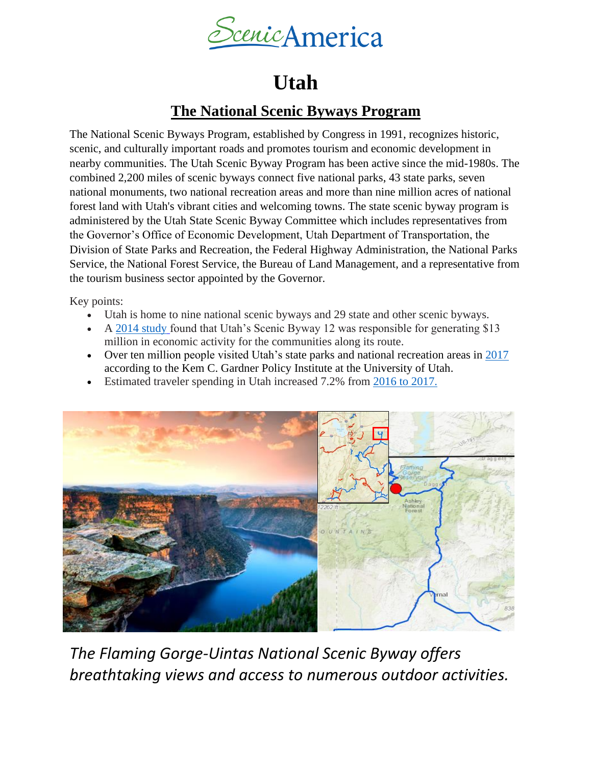

# **Utah**

## **The National Scenic Byways Program**

The National Scenic Byways Program, established by Congress in 1991, recognizes historic, scenic, and culturally important roads and promotes tourism and economic development in nearby communities. The Utah Scenic Byway Program has been active since the mid-1980s. The combined 2,200 miles of scenic byways connect five national parks, 43 state parks, seven national monuments, two national recreation areas and more than nine million acres of national forest land with Utah's vibrant cities and welcoming towns. The state scenic byway program is administered by the Utah State Scenic Byway Committee which includes representatives from the Governor's Office of Economic Development, Utah Department of Transportation, the Division of State Parks and Recreation, the Federal Highway Administration, the National Parks Service, the National Forest Service, the Bureau of Land Management, and a representative from the tourism business sector appointed by the Governor.

Key points:

- Utah is home to nine national scenic byways and 29 state and other scenic byways.
- A [2014 study](https://www.utah.gov/pmn/files/572641.pdf) found that Utah's Scenic Byway 12 was responsible for generating \$13 million in economic activity for the communities along its route.
- Over ten million people visited Utah's state parks and national recreation areas in [2017](https://travel.utah.gov/wp-content/uploads/2018-Tri-Fold-Brochure.pdf) according to the Kem C. Gardner Policy Institute at the University of Utah.
- Estimated traveler spending in Utah increased 7.2% from [2016 to 2017.](https://travel.utah.gov/wp-content/uploads/2018-Tri-Fold-Brochure.pdf)



*The Flaming Gorge-Uintas National Scenic Byway offers breathtaking views and access to numerous outdoor activities.*